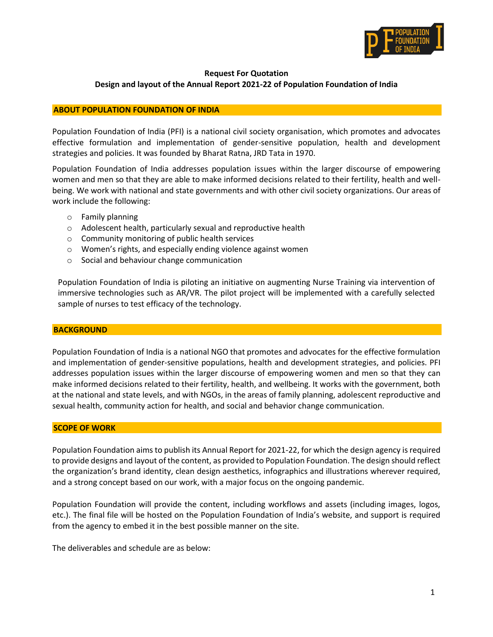

## **Request For Quotation Design and layout of the Annual Report 2021-22 of Population Foundation of India**

## **ABOUT POPULATION FOUNDATION OF INDIA**

Population Foundation of India (PFI) is a national civil society organisation, which promotes and advocates effective formulation and implementation of gender-sensitive population, health and development strategies and policies. It was founded by Bharat Ratna, JRD Tata in 1970.

Population Foundation of India addresses population issues within the larger discourse of empowering women and men so that they are able to make informed decisions related to their fertility, health and wellbeing. We work with national and state governments and with other civil society organizations. Our areas of work include the following:

- o Family planning
- o Adolescent health, particularly sexual and reproductive health
- o Community monitoring of public health services
- o Women's rights, and especially ending violence against women
- o Social and behaviour change communication

Population Foundation of India is piloting an initiative on augmenting Nurse Training via intervention of immersive technologies such as AR/VR. The pilot project will be implemented with a carefully selected sample of nurses to test efficacy of the technology.

#### **BACKGROUND**

Population Foundation of India is a national NGO that promotes and advocates for the effective formulation and implementation of gender-sensitive populations, health and development strategies, and policies. PFI addresses population issues within the larger discourse of empowering women and men so that they can make informed decisions related to their fertility, health, and wellbeing. It works with the government, both at the national and state levels, and with NGOs, in the areas of family planning, adolescent reproductive and sexual health, community action for health, and social and behavior change communication.

#### **SCOPE OF WORK**

Population Foundation aims to publish its Annual Report for 2021-22, for which the design agency is required to provide designs and layout of the content, as provided to Population Foundation. The design should reflect the organization's brand identity, clean design aesthetics, infographics and illustrations wherever required, and a strong concept based on our work, with a major focus on the ongoing pandemic.

Population Foundation will provide the content, including workflows and assets (including images, logos, etc.). The final file will be hosted on the Population Foundation of India's website, and support is required from the agency to embed it in the best possible manner on the site.

The deliverables and schedule are as below: